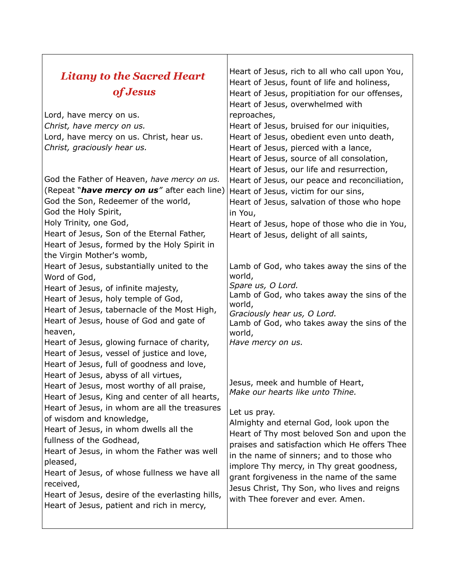| <b>Litany to the Sacred Heart</b><br>of Jesus                                                                                                                                                                                                                                                                                                                                                                                                                              | Heart of Jesus, rich to all who call upon You,<br>Heart of Jesus, fount of life and holiness,<br>Heart of Jesus, propitiation for our offenses,<br>Heart of Jesus, overwhelmed with                                                                                                                                                                                                                                                                      |
|----------------------------------------------------------------------------------------------------------------------------------------------------------------------------------------------------------------------------------------------------------------------------------------------------------------------------------------------------------------------------------------------------------------------------------------------------------------------------|----------------------------------------------------------------------------------------------------------------------------------------------------------------------------------------------------------------------------------------------------------------------------------------------------------------------------------------------------------------------------------------------------------------------------------------------------------|
| Lord, have mercy on us.<br>Christ, have mercy on us.<br>Lord, have mercy on us. Christ, hear us.<br>Christ, graciously hear us.<br>God the Father of Heaven, have mercy on us.<br>(Repeat " <i>have mercy on us"</i> after each line)<br>God the Son, Redeemer of the world,<br>God the Holy Spirit,                                                                                                                                                                       | reproaches,<br>Heart of Jesus, bruised for our iniquities,<br>Heart of Jesus, obedient even unto death,<br>Heart of Jesus, pierced with a lance,<br>Heart of Jesus, source of all consolation,<br>Heart of Jesus, our life and resurrection,<br>Heart of Jesus, our peace and reconciliation,<br>Heart of Jesus, victim for our sins,<br>Heart of Jesus, salvation of those who hope                                                                     |
| Holy Trinity, one God,<br>Heart of Jesus, Son of the Eternal Father,<br>Heart of Jesus, formed by the Holy Spirit in<br>the Virgin Mother's womb,                                                                                                                                                                                                                                                                                                                          | in You,<br>Heart of Jesus, hope of those who die in You,<br>Heart of Jesus, delight of all saints,                                                                                                                                                                                                                                                                                                                                                       |
| Heart of Jesus, substantially united to the<br>Word of God,<br>Heart of Jesus, of infinite majesty,<br>Heart of Jesus, holy temple of God,<br>Heart of Jesus, tabernacle of the Most High,<br>Heart of Jesus, house of God and gate of<br>heaven,<br>Heart of Jesus, glowing furnace of charity,<br>Heart of Jesus, vessel of justice and love,<br>Heart of Jesus, full of goodness and love,<br>Heart of Jesus, abyss of all virtues,                                     | Lamb of God, who takes away the sins of the<br>world,<br>Spare us, O Lord.<br>Lamb of God, who takes away the sins of the<br>world,<br>Graciously hear us, O Lord.<br>Lamb of God, who takes away the sins of the<br>world,<br>Have mercy on us.                                                                                                                                                                                                         |
| Heart of Jesus, most worthy of all praise,<br>Heart of Jesus, King and center of all hearts,<br>Heart of Jesus, in whom are all the treasures<br>of wisdom and knowledge,<br>Heart of Jesus, in whom dwells all the<br>fullness of the Godhead,<br>Heart of Jesus, in whom the Father was well<br>pleased,<br>Heart of Jesus, of whose fullness we have all<br>received,<br>Heart of Jesus, desire of the everlasting hills,<br>Heart of Jesus, patient and rich in mercy, | Jesus, meek and humble of Heart,<br>Make our hearts like unto Thine.<br>Let us pray.<br>Almighty and eternal God, look upon the<br>Heart of Thy most beloved Son and upon the<br>praises and satisfaction which He offers Thee<br>in the name of sinners; and to those who<br>implore Thy mercy, in Thy great goodness,<br>grant forgiveness in the name of the same<br>Jesus Christ, Thy Son, who lives and reigns<br>with Thee forever and ever. Amen. |